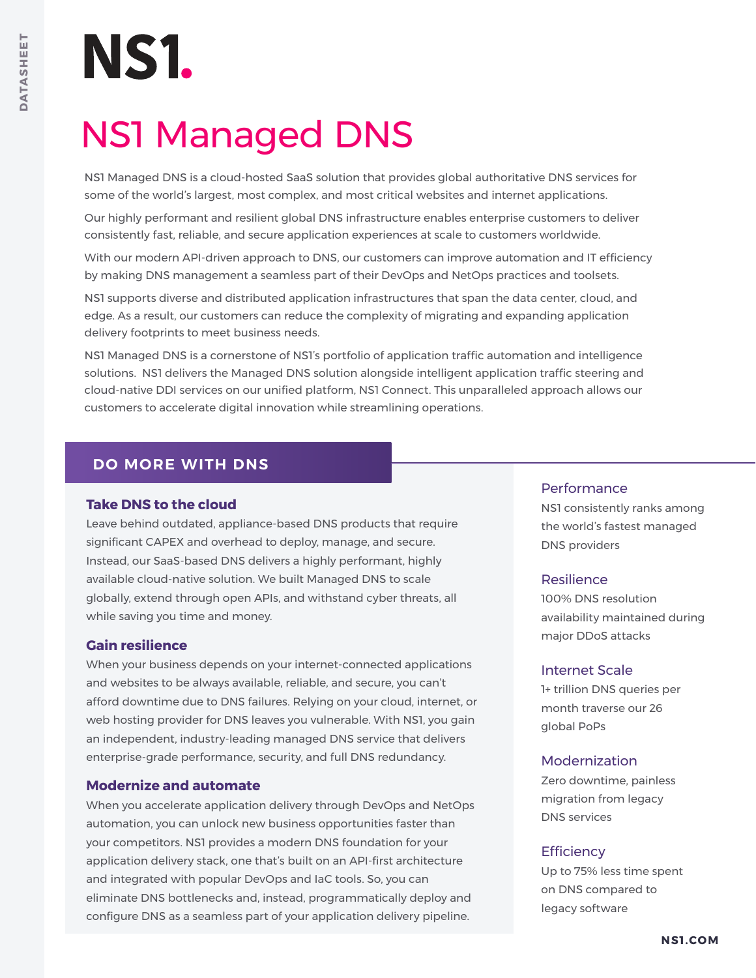# NS1.

## NS1 Managed DNS

NS1 Managed DNS is a cloud-hosted SaaS solution that provides global authoritative DNS services for some of the world's largest, most complex, and most critical websites and internet applications.

Our highly performant and resilient global DNS infrastructure enables enterprise customers to deliver consistently fast, reliable, and secure application experiences at scale to customers worldwide.

With our modern API-driven approach to DNS, our customers can improve automation and IT efficiency by making DNS management a seamless part of their DevOps and NetOps practices and toolsets.

NS1 supports diverse and distributed application infrastructures that span the data center, cloud, and edge. As a result, our customers can reduce the complexity of migrating and expanding application delivery footprints to meet business needs.

NS1 Managed DNS is a cornerstone of NS1's portfolio of application traffic automation and intelligence solutions. NS1 delivers the Managed DNS solution alongside intelligent application traffic steering and cloud-native DDI services on our unified platform, NS1 Connect. This unparalleled approach allows our customers to accelerate digital innovation while streamlining operations.

## **DO MORE WITH DNS**

## **Take DNS to the cloud**

Leave behind outdated, appliance-based DNS products that require significant CAPEX and overhead to deploy, manage, and secure. Instead, our SaaS-based DNS delivers a highly performant, highly available cloud-native solution. We built Managed DNS to scale globally, extend through open APIs, and withstand cyber threats, all while saving you time and money.

## **Gain resilience**

When your business depends on your internet-connected applications and websites to be always available, reliable, and secure, you can't afford downtime due to DNS failures. Relying on your cloud, internet, or web hosting provider for DNS leaves you vulnerable. With NS1, you gain an independent, industry-leading managed DNS service that delivers enterprise-grade performance, security, and full DNS redundancy.

## **Modernize and automate**

When you accelerate application delivery through DevOps and NetOps automation, you can unlock new business opportunities faster than your competitors. NS1 provides a modern DNS foundation for your application delivery stack, one that's built on an API-first architecture and integrated with popular DevOps and IaC tools. So, you can eliminate DNS bottlenecks and, instead, programmatically deploy and configure DNS as a seamless part of your application delivery pipeline.

### **Performance**

NS1 consistently ranks among the world's fastest managed DNS providers

## Resilience

100% DNS resolution availability maintained during major DDoS attacks

## Internet Scale

1+ trillion DNS queries per month traverse our 26 global PoPs

## Modernization

Zero downtime, painless migration from legacy DNS services

## **Efficiency**

Up to 75% less time spent on DNS compared to legacy software